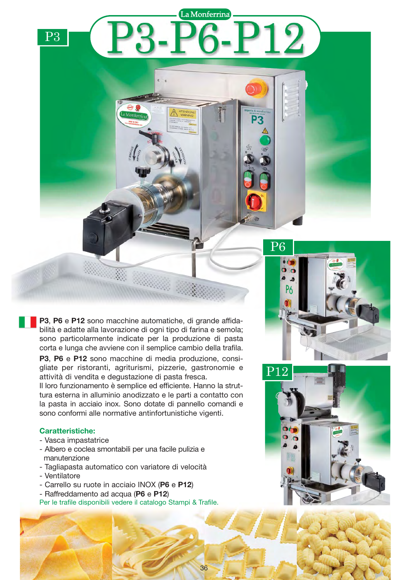**P3**, **P6** e **P12** sono macchine automatiche, di grande affidabilità e adatte alla lavorazione di ogni tipo di farina e semola; sono particolarmente indicate per la produzione di pasta corta e lunga che avviene con il semplice cambio della trafila.

**P3**, **P6** e **P12** sono macchine di media produzione, consigliate per ristoranti, agriturismi, pizzerie, gastronomie e attività di vendita e degustazione di pasta fresca.

Il loro funzionamento è semplice ed efficiente. Hanno la struttura esterna in alluminio anodizzato e le parti a contatto con la pasta in acciaio inox. Sono dotate di pannello comandi e sono conformi alle normative antinfortunistiche vigenti.

### **Caratteristiche:**

P3

- Vasca impastatrice
- Albero e coclea smontabili per una facile pulizia e manutenzione
- Tagliapasta automatico con variatore di velocità
- Ventilatore
- Carrello su ruote in acciaio INOX (**P6** e **P12**)
- Raffreddamento ad acqua (**P6** e **P12**)

Per le trafile disponibili vedere il catalogo Stampi & Trafile.





La Monferrina

12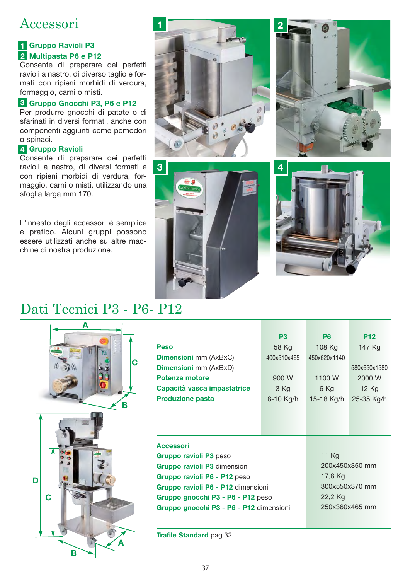# Accessori accessories and accessories of the second series of the second series of the series of the series of the series

## **Gruppo Ravioli P3 1 Multipasta P6 e P12 2**

Consente di preparare dei perfetti ravioli a nastro, di diverso taglio e formati con ripieni morbidi di verdura, formaggio, carni o misti.

## **Gruppo Gnocchi P3, P6 e P12 3**

Per produrre gnocchi di patate o di sfarinati in diversi formati, anche con componenti aggiunti come pomodori o spinaci.

## **Gruppo Ravioli 4**

Consente di preparare dei perfetti ravioli a nastro, di diversi formati e con ripieni morbidi di verdura, formaggio, carni o misti, utilizzando una sfoglia larga mm 170.

L'innesto degli accessori è semplice e pratico. Alcuni gruppi possono essere utilizzati anche su altre macchine di nostra produzione.



**3**







|                                         | P <sub>3</sub> | P <sub>6</sub> | <b>P12</b>   |  |
|-----------------------------------------|----------------|----------------|--------------|--|
| <b>Peso</b>                             | 58 Kg          | 108 Kg         | 147 Kg       |  |
| <b>Dimensioni</b> mm (AxBxC)            | 400x510x465    | 450x620x1140   |              |  |
| <b>Dimensioni</b> mm (AxBxD)            |                |                | 580x650x1580 |  |
| Potenza motore                          | 900 W          | 1100 W         | 2000 W       |  |
| Capacità vasca impastatrice             | 3 Kg           | 6 Kg           | 12 Kg        |  |
| <b>Produzione pasta</b>                 | 8-10 Kg/h      | 15-18 Kg/h     | 25-35 Kg/h   |  |
|                                         |                |                |              |  |
|                                         |                |                |              |  |
|                                         |                |                |              |  |
| <b>Accessori</b>                        |                |                |              |  |
| Gruppo ravioli P3 peso                  |                | 11 Kg          |              |  |
| Gruppo ravioli P3 dimensioni            |                | 200x450x350 mm |              |  |
| Gruppo ravioli P6 - P12 peso            | 17,8 Kg        |                |              |  |
| Gruppo ravioli P6 - P12 dimensioni      | 300x550x370 mm |                |              |  |
| Gruppo gnocchi P3 - P6 - P12 peso       | 22,2 Kg        |                |              |  |
| Gruppo gnocchi P3 - P6 - P12 dimensioni | 250x360x465 mm |                |              |  |
|                                         |                |                |              |  |
|                                         |                |                |              |  |

**Trafile Standard** pag.32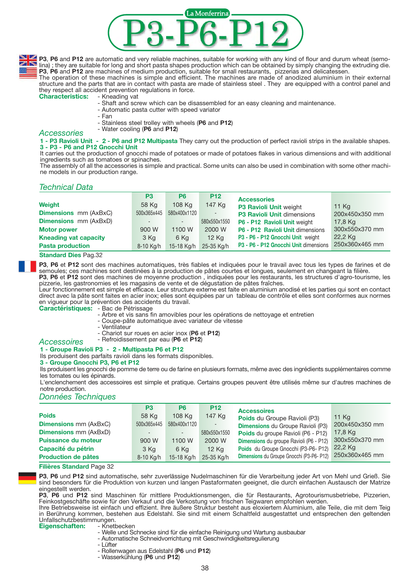

**P3**, P6 and P12 are automatic and very reliable machines, suitable for working with any kind of flour and durum wheat (semolina); they are suitable for long and short pasta shapes production which can be obtained by simply changing the extruding die. **P3**, **P6** and **P12** are machines of medium production, suitable for small restaurants, pizzerias and delicatessen.

The operation of these machines is simple and efficient. The machines are made of anodized aluminium in their external structure and the parts that are in contact with pasta are made of stainless steel . They are equipped with a control panel and they respect all accident prevention regulations in force.<br>Characteristics: - Kneading vat

- **Characteristics:** 
	- Shaft and screw which can be disassembled for an easy cleaning and maintenance.
	- Automatic pasta cutter with speed variator
	- Fan
	- Stainless steel trolley with wheels (**P6** and **P12**)
- Water cooling (**P6** and **P12**) *Accessories*

**1 - P3 Ravioli Unit - 2 - P6 and P12 Multipasta** They carry out the production of perfect ravioli strips in the available shapes. **3 - P3 - P6 and P12 Gnocchi Unit** 

It carries out the production of gnocchi made of potatoes or made of potatoes flakes in various dimensions and with additional ingredients such as tomatoes or spinaches.

The assembly of all the accessories is simple and practical. Some units can also be used in combination with some other machine models in our production range.

### *Technical Data*

|                              | P <sub>3</sub> | P <sub>6</sub> | <b>P12</b>   | <b>Accessories</b>                    |                |
|------------------------------|----------------|----------------|--------------|---------------------------------------|----------------|
| Weight                       | 58 Kg          | 108 Ka         | 147 Kg       | P3 Ravioli Unit weight                | 11 Kg          |
| <b>Dimensions</b> mm (AxBxC) | 500x365x445    | 580x400x1120   |              | <b>P3 Ravioli Unit dimensions</b>     | 200x450x350 mm |
| <b>Dimensions</b> mm (AxBxD) | $\sim$         |                | 580x550x1550 | P6 - P12 Ravioli Unit weight          | 17,8 Kg        |
| <b>Motor power</b>           | 900 W          | 1100 W         | 2000 W       | P6 - P12 Ravioli Unit dimensions      | 300x550x370 mm |
| <b>Kneading vat capacity</b> | 3 Kg           | 6 Kg           | <b>12 Kg</b> | P3 - P6 - P12 Gnocchi Unit weight     | 22,2 Kg        |
| <b>Pasta production</b>      | 8-10 Kg/h      | 15-18 Kg/h     | 25-35 Kg/h   | P3 - P6 - P12 Gnocchi Unit dimensions | 250x360x465 mm |

#### **Standard Dies** Pag.32

**P3**, **P6** et **P12** sont des machines automatiques, très fiables et indiquées pour le travail avec tous les types de farines et de semoules; ces machines sont destinées à la production de pâtes courtes et longues, seulement en changeant la filière. **P3**, **P6** et **P12** sont des machines de moyenne production , indiquées pour les restaurants, les structures d'agro-tourisme, les

pizzerie, les gastronomies et les magasins de vente et de dégustation de pâtes fraîches.

Leur fonctionnement est simple et efficace. Leur structure externe est faite en aluminium anodisé et les parties qui sont en contact direct avec la pâte sont faites en acier inox; elles sont équipées par un tableau de contrôle et elles sont conformes aux normes en vigueur pour la prévention des accidents du travail.

**Caractéristiques:** - Bac de Pétrissage

- Arbre et vis sans fin amovibles pour les opérations de nettoyage et entretien
- Coupe-pâte automatique avec variateur de vitesse
- Ventilateur
- Chariot sur roues en acier inox (**P6** et **P12**)
- Refroidissement par eau (**P6** et **P12**) *Accessoires*

#### **1 - Groupe Ravioli P3 - 2 - Multipasta P6 et P12**

Ils produisent des parfaits ravioli dans les formats disponibles.

#### **3 - Groupe Gnocchi P3, P6 et P12**

Ils produisent les gnocchi de pomme de terre ou de farine en plusieurs formats, même avec des ingrédients supplémentaires comme les tomates ou les épinards.

L'enclenchement des accessoires est simple et pratique. Certains groupes peuvent être utilisés même sur d'autres machines de notre production.

#### *Données Techniques*

|                              | P <sub>3</sub> | P <sub>6</sub> | <b>P12</b>   | <b>Accessoires</b>                        |                |
|------------------------------|----------------|----------------|--------------|-------------------------------------------|----------------|
| <b>Poids</b>                 | 58 Kg          | 108 Ka         | 147 Kg       | <b>Poids</b> du Groupe Ravioli (P3)       | <b>11 Kg</b>   |
| <b>Dimensions mm (AxBxC)</b> | 500x365x445    | 580x400x1120   |              | <b>Dimensions du Groupe Ravioli (P3)</b>  | 200x450x350 mm |
| <b>Dimensions mm (AxBxD)</b> |                |                | 580x550x1550 | Poids du groupe Ravioli (P6 - P12)        | 17,8 Kg        |
| <b>Puissance du moteur</b>   | 900 W          | 1100 W         | 2000 W       | Dimensions du groupe Ravioli (P6 - P12)   | 300x550x370 mm |
| Capacité du pétrin           | 3 Kg           | 6 Kg           | <b>12 Kg</b> | Poids du Groupe Gnocchi (P3-P6- P12)      | 22.2 Ka        |
| <b>Production de pâtes</b>   | 8-10 Kg/h      | 15-18 Kg/h     | 25-35 Kg/h   | Dimensions du Groupe Gnocchi (P3-P6- P12) | 250x360x465 mm |

**Filières Standard** Page 32

**P3**, **P6** und **P12** sind automatische, sehr zuverlässige Nudelmaschinen für die Verarbeitung jeder Art von Mehl und Grieß. Sie sind besonders für die Produktion von kurzen und langen Pastaformaten geeignet, die durch einfachen Austausch der Matrize eingestellt werden.

**P3**, **P6** und **P12** sind Maschinen für mittlere Produktionsmengen, die für Restaurants, Agrotourismusbetriebe, Pizzerien, Feinkostgeschäfte sowie für den Verkauf und die Verkostung von frischen Teigwaren empfohlen werden.

Ihre Betriebsweise ist einfach und effizient. Ihre äußere Struktur besteht aus eloxiertem Aluminium, alle Teile, die mit dem Teig in Berührung kommen, bestehen aus Edelstahl. Sie sind mit einem Schaltfeld ausgestattet und entsprechen den geltenden Unfallschutzbestimmungen.<br>Eigenschaften: - Knetbecken

**Eigenschaften:** 

- Welle und Schnecke sind für die einfache Reinigung und Wartung ausbaubar

- Automatische Schneidvorrichtung mit Geschwindigkeitsregulierung

- Lüfter

- Rollenwagen aus Edelstahl (**P6** und **P12**)
- Wasserkühlung (**P6** und **P12**)